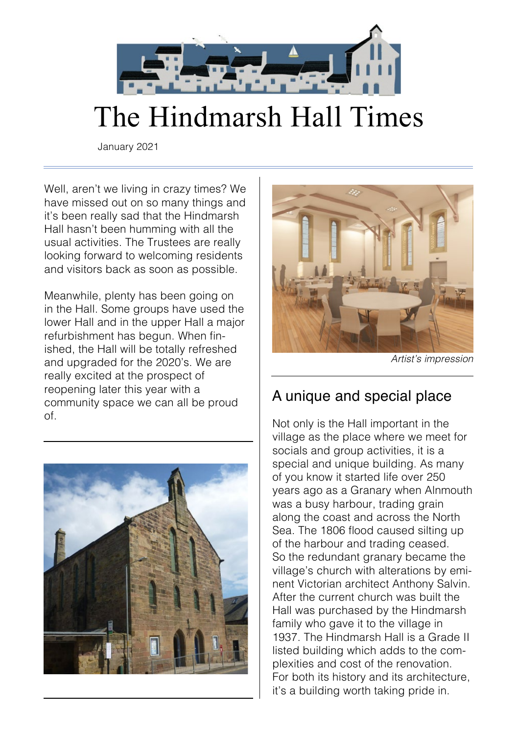

# The Hindmarsh Hall Times

January 2021

Well, aren't we living in crazy times? We have missed out on so many things and it's been really sad that the Hindmarsh Hall hasn't been humming with all the usual activities. The Trustees are really looking forward to welcoming residents and visitors back as soon as possible.

Meanwhile, plenty has been going on in the Hall. Some groups have used the lower Hall and in the upper Hall a major refurbishment has begun. When finished, the Hall will be totally refreshed and upgraded for the 2020's. We are really excited at the prospect of reopening later this year with a community space we can all be proud of.





*Artist's impression*

### A unique and special place

Not only is the Hall important in the village as the place where we meet for socials and group activities, it is a special and unique building. As many of you know it started life over 250 years ago as a Granary when Alnmouth was a busy harbour, trading grain along the coast and across the North Sea. The 1806 flood caused silting up of the harbour and trading ceased. So the redundant granary became the village's church with alterations by eminent Victorian architect Anthony Salvin. After the current church was built the Hall was purchased by the Hindmarsh family who gave it to the village in 1937. The Hindmarsh Hall is a Grade II listed building which adds to the complexities and cost of the renovation. For both its history and its architecture, it's a building worth taking pride in.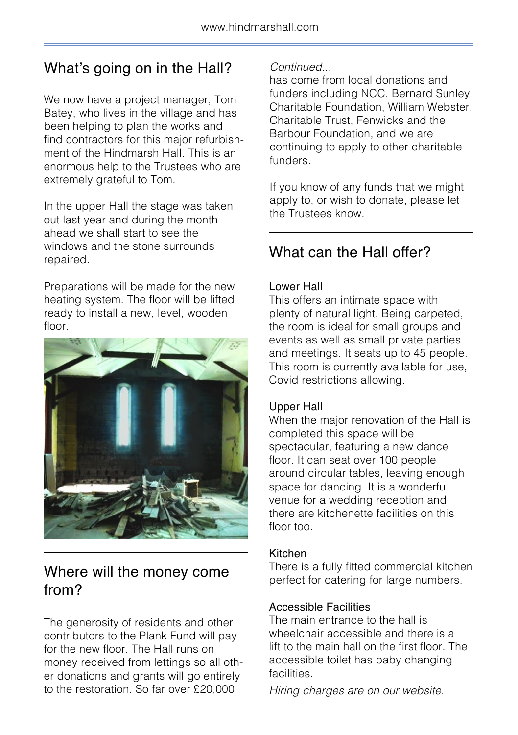## What's going on in the Hall?

We now have a project manager, Tom Batey, who lives in the village and has been helping to plan the works and find contractors for this major refurbishment of the Hindmarsh Hall. This is an enormous help to the Trustees who are extremely grateful to Tom.

In the upper Hall the stage was taken out last year and during the month ahead we shall start to see the windows and the stone surrounds repaired.

Preparations will be made for the new heating system. The floor will be lifted ready to install a new, level, wooden floor.



### Where will the money come from?

The generosity of residents and other contributors to the Plank Fund will pay for the new floor. The Hall runs on money received from lettings so all other donations and grants will go entirely to the restoration. So far over £20,000

#### *Continued...*

has come from local donations and funders including NCC, Bernard Sunley Charitable Foundation, William Webster. Charitable Trust, Fenwicks and the Barbour Foundation, and we are continuing to apply to other charitable funders.

If you know of any funds that we might apply to, or wish to donate, please let the Trustees know.

## What can the Hall offer?

#### Lower Hall

This offers an intimate space with plenty of natural light. Being carpeted, the room is ideal for small groups and events as well as small private parties and meetings. It seats up to 45 people. This room is currently available for use, Covid restrictions allowing.

#### Upper Hall

When the major renovation of the Hall is completed this space will be spectacular, featuring a new dance floor. It can seat over 100 people around circular tables, leaving enough space for dancing. It is a wonderful venue for a wedding reception and there are kitchenette facilities on this floor too.

#### Kitchen

There is a fully fitted commercial kitchen perfect for catering for large numbers.

#### Accessible Facilities

The main entrance to the hall is wheelchair accessible and there is a lift to the main hall on the first floor. The accessible toilet has baby changing facilities.

*Hiring charges are on our website.*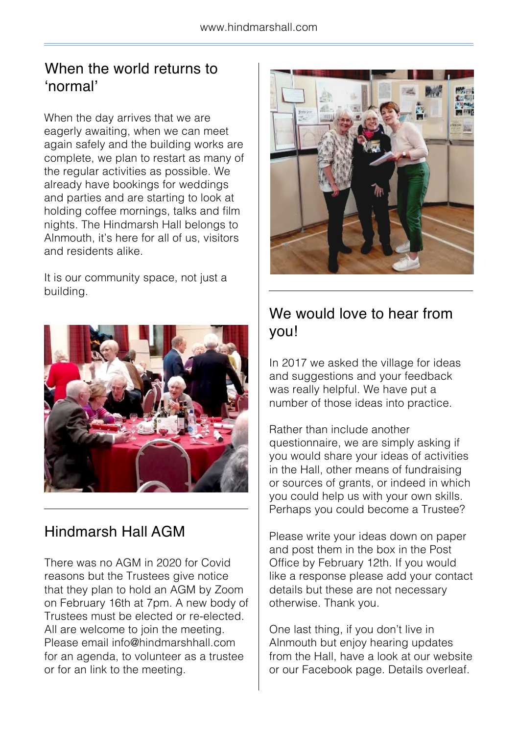### When the world returns to 'normal'

When the day arrives that we are eagerly awaiting, when we can meet again safely and the building works are complete, we plan to restart as many of the regular activities as possible. We already have bookings for weddings and parties and are starting to look at holding coffee mornings, talks and film nights. The Hindmarsh Hall belongs to Alnmouth, it's here for all of us, visitors and residents alike.

It is our community space, not just a building.



### Hindmarsh Hall AGM

There was no AGM in 2020 for Covid reasons but the Trustees give notice that they plan to hold an AGM by Zoom on February 16th at 7pm. A new body of Trustees must be elected or re-elected. All are welcome to join the meeting. Please email info@hindmarshhall.com for an agenda, to volunteer as a trustee or for an link to the meeting.



### We would love to hear from you!

In 2017 we asked the village for ideas and suggestions and your feedback was really helpful. We have put a number of those ideas into practice.

Rather than include another questionnaire, we are simply asking if you would share your ideas of activities in the Hall, other means of fundraising or sources of grants, or indeed in which you could help us with your own skills. Perhaps you could become a Trustee?

Please write your ideas down on paper and post them in the box in the Post Office by February 12th. If you would like a response please add your contact details but these are not necessary otherwise. Thank you.

One last thing, if you don't live in Alnmouth but enjoy hearing updates from the Hall, have a look at our website or our Facebook page. Details overleaf.